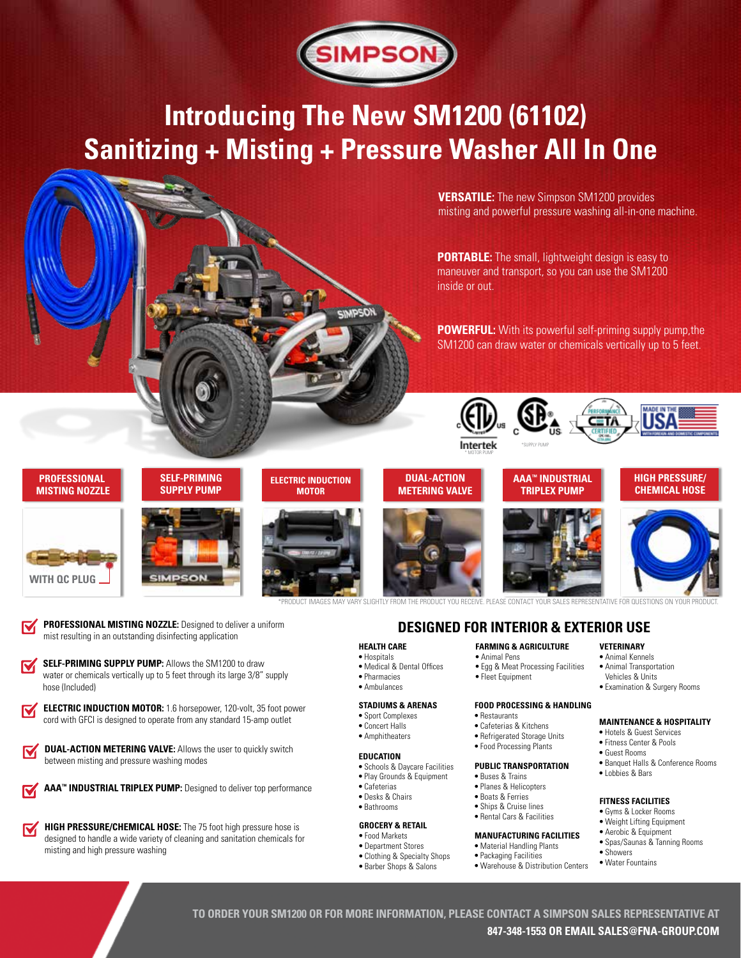

# **Introducing The New SM1200 (61102) Sanitizing + Misting + Pressure Washer All In One**

**VERSATILE:** The new Simpson SM1200 provides misting and powerful pressure washing all-in-one machine.

**PORTABLE:** The small, lightweight design is easy to maneuver and transport, so you can use the SM1200 inside or out.

**POWERFUL:** With its powerful self-priming supply pump, the SM1200 can draw water or chemicals vertically up to 5 feet.



### **PROFESSIONAL MISTING NOZZLE**

**WITH QC PLUG**

 **SELF-PRIMING SUPPLY PUMP**



**DUAL-ACTION METERING VALVE**

### **AAA™ INDUSTRIAL TRIPLEX PUMP**

### **HIGH PRESSURE/ CHEMICAL HOSE**





.<br>PRODUCT IMAGES MAY VARY SLIGHTLY FROM THE PRODUCT YOU RECEIVE. PLEASE CONTACT YOUR S

### **PROFESSIONAL MISTING NOZZLE:** Designed to deliver a uniform mist resulting in an outstanding disinfecting application

- **SELF-PRIMING SUPPLY PUMP:** Allows the SM1200 to draw M water or chemicals vertically up to 5 feet through its large 3/8" supply hose (Included)
- **ELECTRIC INDUCTION MOTOR:** 1.6 horsepower, 120-volt, 35 foot power M cord with GFCI is designed to operate from any standard 15-amp outlet
	- **DUAL-ACTION METERING VALVE:** Allows the user to quickly switch between misting and pressure washing modes



**HIGH PRESSURE/CHEMICAL HOSE:** The 75 foot high pressure hose is M designed to handle a wide variety of cleaning and sanitation chemicals for misting and high pressure washing

# **DESIGNED FOR INTERIOR & EXTERIOR USE**

### **HEALTH CARE**

- Hospitals
- Medical & Dental Offices **•** Pharmacies
- **•** Ambulances

## **STADIUMS & ARENAS**

- Sport Complexes
- Concert Halls
- Amphitheaters

### **EDUCATION**

- **•** Schools & Daycare Facilities
- Play Grounds & Equipment
- Cafeterias **•** Desks & Chairs
- Bathrooms

### **GROCERY & RETAIL**

- **•** Food Markets
- Department Stores
- **•** Clothing & Specialty Shops **•** Barber Shops & Salons

# **FARMING & AGRICULTURE**

- Animal Pens
- Egg & Meat Processing Facilities **•** Fleet Equipment
	-

## **FOOD PROCESSING & HANDLING**

- **•** Restaurants
- Cafeterias & Kitchens **•** Refrigerated Storage Units
- **•** Food Processing Plants

### **PUBLIC TRANSPORTATION**

- **•** Buses & Trains
- **•** Planes & Helicopters **•** Boats & Ferries
- Ships & Cruise lines
- **•** Rental Cars & Facilities

### **MANUFACTURING FACILITIES**

- **•** Material Handling Plants
- **•** Packaging Facilities
- Warehouse & Distribution Centers

### **VETERINARY •** Animal Kennels

- Animal Transportation
- Vehicles & Units
- **•** Examination & Surgery Rooms
- **MAINTENANCE & HOSPITALITY**
- Hotels & Guest Services
- Fitness Center & Pools
- **•** Guest Rooms **•** Banquet Halls & Conference Rooms
- **•** Lobbies & Bars

## **FITNESS FACILITIES**

- Gyms & Locker Rooms **•** Weight Lifting Equipment
- 
- **•** Aerobic & Equipment **•** Spas/Saunas & Tanning Rooms
- **•** Showers
- **•** Water Fountains

**TO ORDER YOUR SM1200 OR FOR MORE INFORMATION, PLEASE CONTACT A SIMPSON SALES REPRESENTATIVE AT 847-348-1553 OR EMAIL SALES@FNA-GROUP.COM**